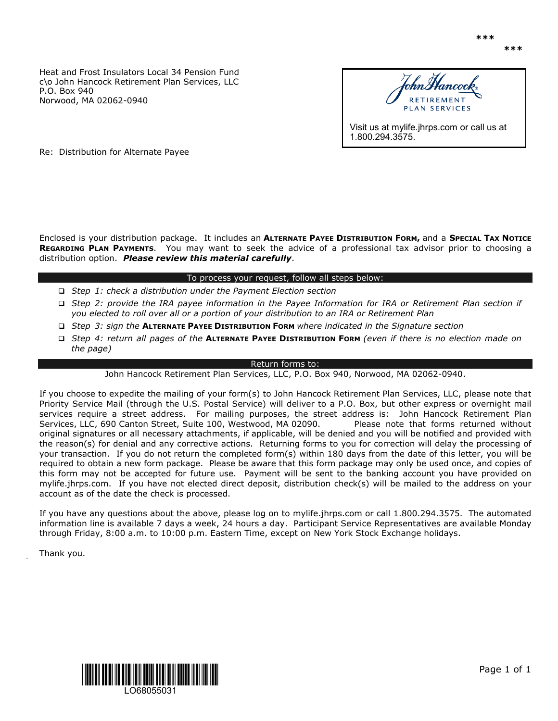Heat and Frost Insulators Local 34 Pension Fund c\o John Hancock Retirement Plan Services, LLC P.O. Box 940 Norwood, MA 02062-0940



1.800.294.3575.

Re: Distribution for Alternate Payee

Enclosed is your distribution package. It includes an **ALTERNATE PAYEE DISTRIBUTION FORM,** and a **SPECIAL TAX NOTICE REGARDING PLAN PAYMENTS**. You may want to seek the advice of a professional tax advisor prior to choosing a distribution option. *Please review this material carefully*.

### To process your request, follow all steps below:

- *Step 1: check a distribution under the Payment Election section*
- *Step 2: provide the IRA payee information in the Payee Information for IRA or Retirement Plan section if you elected to roll over all or a portion of your distribution to an IRA or Retirement Plan*
- *Step 3: sign the* **ALTERNATE PAYEE DISTRIBUTION FORM** *where indicated in the Signature section*
- *Step 4: return all pages of the* **ALTERNATE PAYEE DISTRIBUTION FORM** *(even if there is no election made on the page)*

#### Return forms to:

John Hancock Retirement Plan Services, LLC, P.O. Box 940, Norwood, MA 02062-0940.

If you choose to expedite the mailing of your form(s) to John Hancock Retirement Plan Services, LLC, please note that Priority Service Mail (through the U.S. Postal Service) will deliver to a P.O. Box, but other express or overnight mail services require a street address. For mailing purposes, the street address is: John Hancock Retirement Plan Services, LLC, 690 Canton Street, Suite 100, Westwood, MA 02090. Please note that forms returned without original signatures or all necessary attachments, if applicable, will be denied and you will be notified and provided with the reason(s) for denial and any corrective actions. Returning forms to you for correction will delay the processing of your transaction. If you do not return the completed form(s) within 180 days from the date of this letter, you will be required to obtain a new form package. Please be aware that this form package may only be used once, and copies of this form may not be accepted for future use. Payment will be sent to the banking account you have provided on mylife.jhrps.com. If you have not elected direct deposit, distribution check(s) will be mailed to the address on your account as of the date the check is processed.

If you have any questions about the above, please log on to mylife.jhrps.com or call 1.800.294.3575. The automated information line is available 7 days a week, 24 hours a day. Participant Service Representatives are available Monday through Friday, 8:00 a.m. to 10:00 p.m. Eastern Time, except on New York Stock Exchange holidays.

Thank you.

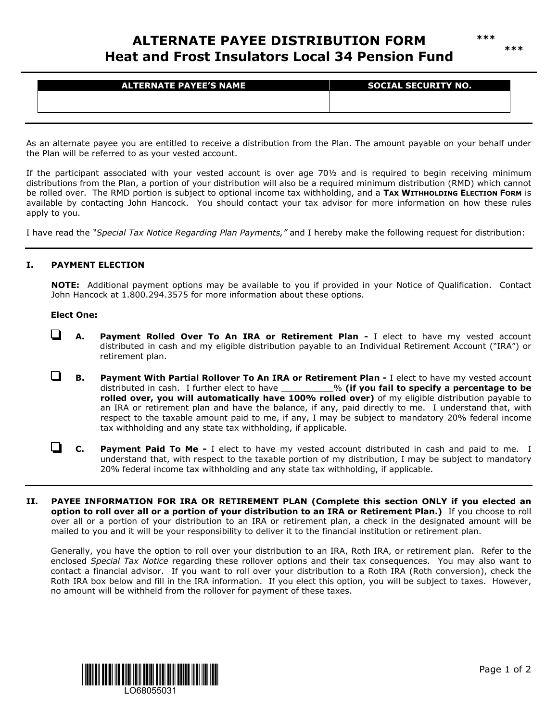# **ALTERNATE PAYEE DISTRIBUTION FORM Heat and Frost Insulators Local 34 Pension Fund**

| <b>ALTERNATE PAYEE'S NAME</b> | <b>SOCIAL SECURITY NO.</b> |
|-------------------------------|----------------------------|
|                               |                            |
|                               |                            |

As an alternate payee you are entitled to receive a distribution from the Plan. The amount payable on your behalf under the Plan will be referred to as your vested account.

If the participant associated with your vested account is over age 70½ and is required to begin receiving minimum distributions from the Plan, a portion of your distribution will also be a required minimum distribution (RMD) which cannot be rolled over. The RMD portion is subject to optional income tax withholding, and a **TAX WITHHOLDING ELECTION FORM** is available by contacting John Hancock. You should contact your tax advisor for more information on how these rules apply to you.

I have read the *"Special Tax Notice Regarding Plan Payments,"* and I hereby make the following request for distribution:

## **I. PAYMENT ELECTION**

**NOTE:** Additional payment options may be available to you if provided in your Notice of Qualification. Contact John Hancock at 1.800.294.3575 for more information about these options.

### **Elect One:**

- **A. Payment Rolled Over To An IRA or Retirement Plan -** I elect to have my vested account distributed in cash and my eligible distribution payable to an Individual Retirement Account ("IRA") or retirement plan.
- $\Box$ **B. Payment With Partial Rollover To An IRA or Retirement Plan -** I elect to have my vested account distributed in cash. I further elect to have \_\_\_\_\_\_\_\_\_\_% **(if you fail to specify a percentage to be rolled over, you will automatically have 100% rolled over)** of my eligible distribution payable to an IRA or retirement plan and have the balance, if any, paid directly to me. I understand that, with respect to the taxable amount paid to me, if any, I may be subject to mandatory 20% federal income tax withholding and any state tax withholding, if applicable.
- ◘ **C. Payment Paid To Me -** I elect to have my vested account distributed in cash and paid to me. I understand that, with respect to the taxable portion of my distribution, I may be subject to mandatory 20% federal income tax withholding and any state tax withholding, if applicable.
- **II. PAYEE INFORMATION FOR IRA OR RETIREMENT PLAN (Complete this section ONLY if you elected an option to roll over all or a portion of your distribution to an IRA or Retirement Plan.)** If you choose to roll over all or a portion of your distribution to an IRA or retirement plan, a check in the designated amount will be mailed to you and it will be your responsibility to deliver it to the financial institution or retirement plan.

Generally, you have the option to roll over your distribution to an IRA, Roth IRA, or retirement plan. Refer to the enclosed *Special Tax Notice* regarding these rollover options and their tax consequences. You may also want to contact a financial advisor. If you want to roll over your distribution to a Roth IRA (Roth conversion), check the Roth IRA box below and fill in the IRA information. If you elect this option, you will be subject to taxes. However, no amount will be withheld from the rollover for payment of these taxes.

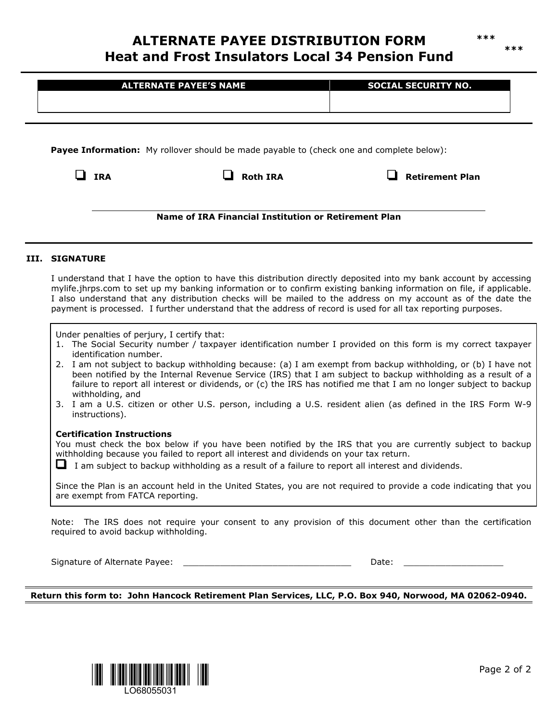# **ALTERNATE PAYEE DISTRIBUTION FORM Heat and Frost Insulators Local 34 Pension Fund**

|                                                                                                                                                                                                                                                                                                                                                                                                                                                                              | <b>ALTERNATE PAYEE'S NAME</b>                                                           | <b>SOCIAL SECURITY NO.</b>                                                                                                                                                                                                                                                                                                                                                                                                                                                                                                                                                          |  |
|------------------------------------------------------------------------------------------------------------------------------------------------------------------------------------------------------------------------------------------------------------------------------------------------------------------------------------------------------------------------------------------------------------------------------------------------------------------------------|-----------------------------------------------------------------------------------------|-------------------------------------------------------------------------------------------------------------------------------------------------------------------------------------------------------------------------------------------------------------------------------------------------------------------------------------------------------------------------------------------------------------------------------------------------------------------------------------------------------------------------------------------------------------------------------------|--|
| Payee Information: My rollover should be made payable to (check one and complete below):                                                                                                                                                                                                                                                                                                                                                                                     |                                                                                         |                                                                                                                                                                                                                                                                                                                                                                                                                                                                                                                                                                                     |  |
| $\Box$ IRA                                                                                                                                                                                                                                                                                                                                                                                                                                                                   | <b>Roth IRA</b>                                                                         | <b>Retirement Plan</b>                                                                                                                                                                                                                                                                                                                                                                                                                                                                                                                                                              |  |
|                                                                                                                                                                                                                                                                                                                                                                                                                                                                              | Name of IRA Financial Institution or Retirement Plan                                    |                                                                                                                                                                                                                                                                                                                                                                                                                                                                                                                                                                                     |  |
| III. SIGNATURE                                                                                                                                                                                                                                                                                                                                                                                                                                                               |                                                                                         |                                                                                                                                                                                                                                                                                                                                                                                                                                                                                                                                                                                     |  |
| I understand that I have the option to have this distribution directly deposited into my bank account by accessing<br>mylife.jhrps.com to set up my banking information or to confirm existing banking information on file, if applicable.<br>I also understand that any distribution checks will be mailed to the address on my account as of the date the<br>payment is processed. I further understand that the address of record is used for all tax reporting purposes. |                                                                                         |                                                                                                                                                                                                                                                                                                                                                                                                                                                                                                                                                                                     |  |
| Under penalties of perjury, I certify that:<br>identification number.<br>withholding, and<br>instructions).                                                                                                                                                                                                                                                                                                                                                                  |                                                                                         | 1. The Social Security number / taxpayer identification number I provided on this form is my correct taxpayer<br>2. I am not subject to backup withholding because: (a) I am exempt from backup withholding, or (b) I have not<br>been notified by the Internal Revenue Service (IRS) that I am subject to backup withholding as a result of a<br>failure to report all interest or dividends, or (c) the IRS has notified me that I am no longer subject to backup<br>3. I am a U.S. citizen or other U.S. person, including a U.S. resident alien (as defined in the IRS Form W-9 |  |
| <b>Certification Instructions</b>                                                                                                                                                                                                                                                                                                                                                                                                                                            | withholding because you failed to report all interest and dividends on your tax return. | You must check the box below if you have been notified by the IRS that you are currently subject to backup                                                                                                                                                                                                                                                                                                                                                                                                                                                                          |  |

**Return this form to: John Hancock Retirement Plan Services, LLC, P.O. Box 940, Norwood, MA 02062-0940.**



**\*\*\* \*\*\***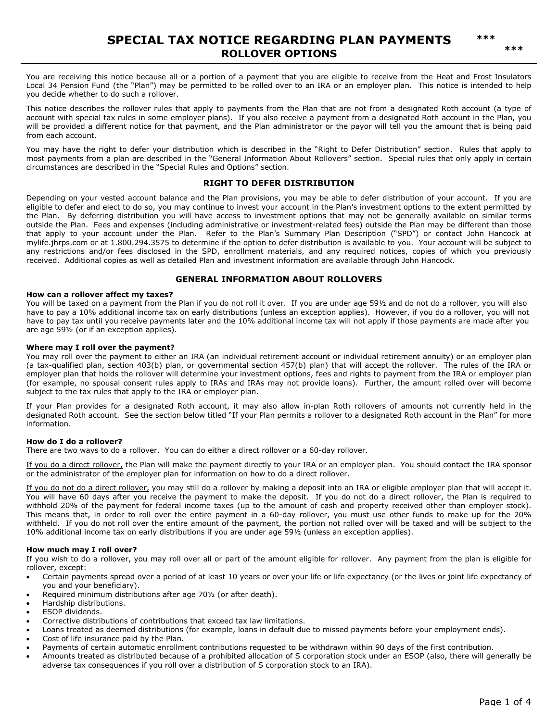You are receiving this notice because all or a portion of a payment that you are eligible to receive from the Heat and Frost Insulators Local 34 Pension Fund (the "Plan") may be permitted to be rolled over to an IRA or an employer plan. This notice is intended to help you decide whether to do such a rollover.

This notice describes the rollover rules that apply to payments from the Plan that are not from a designated Roth account (a type of account with special tax rules in some employer plans). If you also receive a payment from a designated Roth account in the Plan, you will be provided a different notice for that payment, and the Plan administrator or the payor will tell you the amount that is being paid from each account.

You may have the right to defer your distribution which is described in the "Right to Defer Distribution" section. Rules that apply to most payments from a plan are described in the "General Information About Rollovers" section. Special rules that only apply in certain circumstances are described in the "Special Rules and Options" section.

#### **RIGHT TO DEFER DISTRIBUTION**

Depending on your vested account balance and the Plan provisions, you may be able to defer distribution of your account. If you are eligible to defer and elect to do so, you may continue to invest your account in the Plan's investment options to the extent permitted by the Plan. By deferring distribution you will have access to investment options that may not be generally available on similar terms outside the Plan. Fees and expenses (including administrative or investment-related fees) outside the Plan may be different than those that apply to your account under the Plan. Refer to the Plan's Summary Plan Description ("SPD") or contact John Hancock at mylife.jhrps.com or at 1.800.294.3575 to determine if the option to defer distribution is available to you. Your account will be subject to any restrictions and/or fees disclosed in the SPD, enrollment materials, and any required notices, copies of which you previously received. Additional copies as well as detailed Plan and investment information are available through John Hancock.

#### **GENERAL INFORMATION ABOUT ROLLOVERS**

#### **How can a rollover affect my taxes?**

You will be taxed on a payment from the Plan if you do not roll it over. If you are under age 59½ and do not do a rollover, you will also have to pay a 10% additional income tax on early distributions (unless an exception applies). However, if you do a rollover, you will not have to pay tax until you receive payments later and the 10% additional income tax will not apply if those payments are made after you are age 59½ (or if an exception applies).

#### **Where may I roll over the payment?**

You may roll over the payment to either an IRA (an individual retirement account or individual retirement annuity) or an employer plan (a tax-qualified plan, section 403(b) plan, or governmental section 457(b) plan) that will accept the rollover. The rules of the IRA or employer plan that holds the rollover will determine your investment options, fees and rights to payment from the IRA or employer plan (for example, no spousal consent rules apply to IRAs and IRAs may not provide loans). Further, the amount rolled over will become subject to the tax rules that apply to the IRA or employer plan.

If your Plan provides for a designated Roth account, it may also allow in-plan Roth rollovers of amounts not currently held in the designated Roth account. See the section below titled "If your Plan permits a rollover to a designated Roth account in the Plan" for more information.

#### **How do I do a rollover?**

There are two ways to do a rollover. You can do either a direct rollover or a 60-day rollover.

If you do a direct rollover, the Plan will make the payment directly to your IRA or an employer plan. You should contact the IRA sponsor or the administrator of the employer plan for information on how to do a direct rollover.

If you do not do a direct rollover, you may still do a rollover by making a deposit into an IRA or eligible employer plan that will accept it. You will have 60 days after you receive the payment to make the deposit. If you do not do a direct rollover, the Plan is required to withhold 20% of the payment for federal income taxes (up to the amount of cash and property received other than employer stock). This means that, in order to roll over the entire payment in a 60-day rollover, you must use other funds to make up for the 20% withheld. If you do not roll over the entire amount of the payment, the portion not rolled over will be taxed and will be subject to the 10% additional income tax on early distributions if you are under age 59½ (unless an exception applies).

#### **How much may I roll over?**

If you wish to do a rollover, you may roll over all or part of the amount eligible for rollover. Any payment from the plan is eligible for rollover, except:

- Certain payments spread over a period of at least 10 years or over your life or life expectancy (or the lives or joint life expectancy of you and your beneficiary).
- Required minimum distributions after age 70½ (or after death).
- Hardship distributions.
- ESOP dividends.
- Corrective distributions of contributions that exceed tax law limitations.
- Loans treated as deemed distributions (for example, loans in default due to missed payments before your employment ends).
- Cost of life insurance paid by the Plan.
- Payments of certain automatic enrollment contributions requested to be withdrawn within 90 days of the first contribution.
- Amounts treated as distributed because of a prohibited allocation of S corporation stock under an ESOP (also, there will generally be adverse tax consequences if you roll over a distribution of S corporation stock to an IRA).

**\*\*\***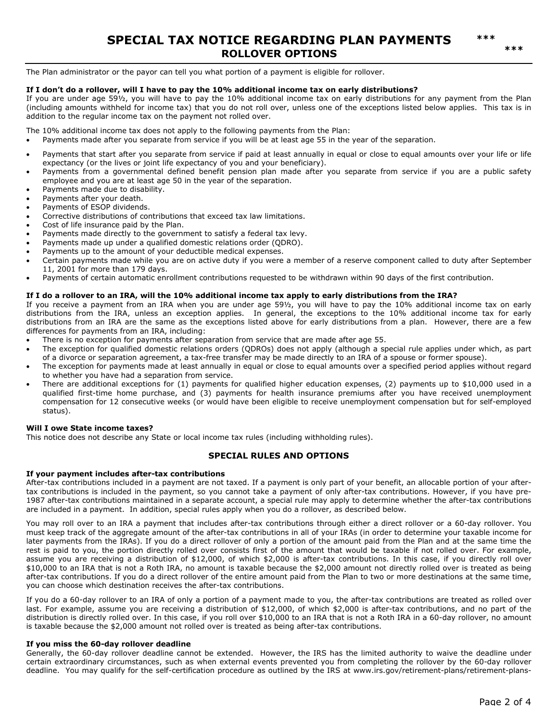**\*\*\*** 

The Plan administrator or the payor can tell you what portion of a payment is eligible for rollover.

#### **If I don't do a rollover, will I have to pay the 10% additional income tax on early distributions?**

If you are under age 59½, you will have to pay the 10% additional income tax on early distributions for any payment from the Plan (including amounts withheld for income tax) that you do not roll over, unless one of the exceptions listed below applies. This tax is in addition to the regular income tax on the payment not rolled over.

The 10% additional income tax does not apply to the following payments from the Plan:

- Payments made after you separate from service if you will be at least age 55 in the year of the separation.
- Payments that start after you separate from service if paid at least annually in equal or close to equal amounts over your life or life expectancy (or the lives or joint life expectancy of you and your beneficiary).
- Payments from a governmental defined benefit pension plan made after you separate from service if you are a public safety employee and you are at least age 50 in the year of the separation.
- Payments made due to disability.
- Payments after your death.
- Payments of ESOP dividends.
- Corrective distributions of contributions that exceed tax law limitations.
- Cost of life insurance paid by the Plan.
- Payments made directly to the government to satisfy a federal tax levy.
- Payments made up under a qualified domestic relations order (QDRO).
- Payments up to the amount of your deductible medical expenses.
- Certain payments made while you are on active duty if you were a member of a reserve component called to duty after September 11, 2001 for more than 179 days.
- Payments of certain automatic enrollment contributions requested to be withdrawn within 90 days of the first contribution.

#### **If I do a rollover to an IRA, will the 10% additional income tax apply to early distributions from the IRA?**

If you receive a payment from an IRA when you are under age 59½, you will have to pay the 10% additional income tax on early distributions from the IRA, unless an exception applies. In general, the exceptions to the 10% additional income tax for early distributions from an IRA are the same as the exceptions listed above for early distributions from a plan. However, there are a few differences for payments from an IRA, including:

- There is no exception for payments after separation from service that are made after age 55.
- The exception for qualified domestic relations orders (QDROs) does not apply (although a special rule applies under which, as part of a divorce or separation agreement, a tax-free transfer may be made directly to an IRA of a spouse or former spouse).
- The exception for payments made at least annually in equal or close to equal amounts over a specified period applies without regard to whether you have had a separation from service.
- There are additional exceptions for (1) payments for qualified higher education expenses, (2) payments up to \$10,000 used in a qualified first-time home purchase, and (3) payments for health insurance premiums after you have received unemployment compensation for 12 consecutive weeks (or would have been eligible to receive unemployment compensation but for self-employed status).

#### **Will I owe State income taxes?**

This notice does not describe any State or local income tax rules (including withholding rules).

#### **SPECIAL RULES AND OPTIONS**

#### **If your payment includes after-tax contributions**

After-tax contributions included in a payment are not taxed. If a payment is only part of your benefit, an allocable portion of your aftertax contributions is included in the payment, so you cannot take a payment of only after-tax contributions. However, if you have pre-1987 after-tax contributions maintained in a separate account, a special rule may apply to determine whether the after-tax contributions are included in a payment. In addition, special rules apply when you do a rollover, as described below.

You may roll over to an IRA a payment that includes after-tax contributions through either a direct rollover or a 60-day rollover. You must keep track of the aggregate amount of the after-tax contributions in all of your IRAs (in order to determine your taxable income for later payments from the IRAs). If you do a direct rollover of only a portion of the amount paid from the Plan and at the same time the rest is paid to you, the portion directly rolled over consists first of the amount that would be taxable if not rolled over. For example, assume you are receiving a distribution of \$12,000, of which \$2,000 is after-tax contributions. In this case, if you directly roll over \$10,000 to an IRA that is not a Roth IRA, no amount is taxable because the \$2,000 amount not directly rolled over is treated as being after-tax contributions. If you do a direct rollover of the entire amount paid from the Plan to two or more destinations at the same time, you can choose which destination receives the after-tax contributions.

If you do a 60-day rollover to an IRA of only a portion of a payment made to you, the after-tax contributions are treated as rolled over last. For example, assume you are receiving a distribution of \$12,000, of which \$2,000 is after-tax contributions, and no part of the distribution is directly rolled over. In this case, if you roll over \$10,000 to an IRA that is not a Roth IRA in a 60-day rollover, no amount is taxable because the \$2,000 amount not rolled over is treated as being after-tax contributions.

#### **If you miss the 60-day rollover deadline**

Generally, the 60-day rollover deadline cannot be extended. However, the IRS has the limited authority to waive the deadline under certain extraordinary circumstances, such as when external events prevented you from completing the rollover by the 60-day rollover deadline. You may qualify for the self-certification procedure as outlined by the IRS at www.irs.gov/retirement-plans/retirement-plans-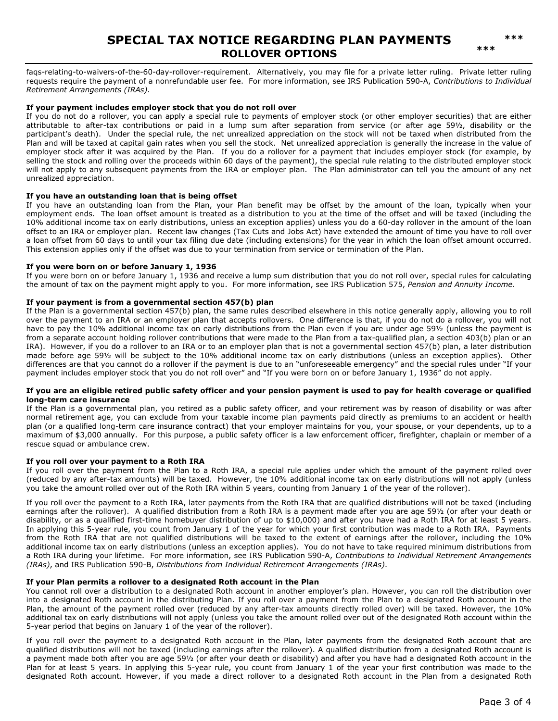# **SPECIAL TAX NOTICE REGARDING PLAN PAYMENTS ROLLOVER OPTIONS**

faqs-relating-to-waivers-of-the-60-day-rollover-requirement. Alternatively, you may file for a private letter ruling. Private letter ruling requests require the payment of a nonrefundable user fee. For more information, see IRS Publication 590-A, *Contributions to Individual Retirement Arrangements (IRAs)*.

#### **If your payment includes employer stock that you do not roll over**

If you do not do a rollover, you can apply a special rule to payments of employer stock (or other employer securities) that are either attributable to after-tax contributions or paid in a lump sum after separation from service (or after age 59½, disability or the participant's death). Under the special rule, the net unrealized appreciation on the stock will not be taxed when distributed from the Plan and will be taxed at capital gain rates when you sell the stock. Net unrealized appreciation is generally the increase in the value of employer stock after it was acquired by the Plan. If you do a rollover for a payment that includes employer stock (for example, by selling the stock and rolling over the proceeds within 60 days of the payment), the special rule relating to the distributed employer stock will not apply to any subsequent payments from the IRA or employer plan. The Plan administrator can tell you the amount of any net unrealized appreciation.

#### **If you have an outstanding loan that is being offset**

If you have an outstanding loan from the Plan, your Plan benefit may be offset by the amount of the loan, typically when your employment ends. The loan offset amount is treated as a distribution to you at the time of the offset and will be taxed (including the 10% additional income tax on early distributions, unless an exception applies) unless you do a 60-day rollover in the amount of the loan offset to an IRA or employer plan. Recent law changes (Tax Cuts and Jobs Act) have extended the amount of time you have to roll over a loan offset from 60 days to until your tax filing due date (including extensions) for the year in which the loan offset amount occurred. This extension applies only if the offset was due to your termination from service or termination of the Plan.

#### **If you were born on or before January 1, 1936**

If you were born on or before January 1, 1936 and receive a lump sum distribution that you do not roll over, special rules for calculating the amount of tax on the payment might apply to you. For more information, see IRS Publication 575, *Pension and Annuity Income*.

#### **If your payment is from a governmental section 457(b) plan**

If the Plan is a governmental section 457(b) plan, the same rules described elsewhere in this notice generally apply, allowing you to roll over the payment to an IRA or an employer plan that accepts rollovers. One difference is that, if you do not do a rollover, you will not have to pay the 10% additional income tax on early distributions from the Plan even if you are under age 59½ (unless the payment is from a separate account holding rollover contributions that were made to the Plan from a tax-qualified plan, a section 403(b) plan or an IRA). However, if you do a rollover to an IRA or to an employer plan that is not a governmental section 457(b) plan, a later distribution made before age 59½ will be subject to the 10% additional income tax on early distributions (unless an exception applies). Other differences are that you cannot do a rollover if the payment is due to an "unforeseeable emergency" and the special rules under "If your payment includes employer stock that you do not roll over" and "If you were born on or before January 1, 1936" do not apply.

#### **If you are an eligible retired public safety officer and your pension payment is used to pay for health coverage or qualified long-term care insurance**

If the Plan is a governmental plan, you retired as a public safety officer, and your retirement was by reason of disability or was after normal retirement age, you can exclude from your taxable income plan payments paid directly as premiums to an accident or health plan (or a qualified long-term care insurance contract) that your employer maintains for you, your spouse, or your dependents, up to a maximum of \$3,000 annually. For this purpose, a public safety officer is a law enforcement officer, firefighter, chaplain or member of a rescue squad or ambulance crew.

#### **If you roll over your payment to a Roth IRA**

If you roll over the payment from the Plan to a Roth IRA, a special rule applies under which the amount of the payment rolled over (reduced by any after-tax amounts) will be taxed. However, the 10% additional income tax on early distributions will not apply (unless you take the amount rolled over out of the Roth IRA within 5 years, counting from January 1 of the year of the rollover).

If you roll over the payment to a Roth IRA, later payments from the Roth IRA that are qualified distributions will not be taxed (including earnings after the rollover). A qualified distribution from a Roth IRA is a payment made after you are age 59½ (or after your death or disability, or as a qualified first-time homebuyer distribution of up to \$10,000) and after you have had a Roth IRA for at least 5 years. In applying this 5-year rule, you count from January 1 of the year for which your first contribution was made to a Roth IRA. Payments from the Roth IRA that are not qualified distributions will be taxed to the extent of earnings after the rollover, including the 10% additional income tax on early distributions (unless an exception applies). You do not have to take required minimum distributions from a Roth IRA during your lifetime. For more information, see IRS Publication 590-A, *Contributions to Individual Retirement Arrangements (IRAs)*, and IRS Publication 590-B, *Distributions from Individual Retirement Arrangements (IRAs)*.

#### **If your Plan permits a rollover to a designated Roth account in the Plan**

You cannot roll over a distribution to a designated Roth account in another employer's plan. However, you can roll the distribution over into a designated Roth account in the distributing Plan. If you roll over a payment from the Plan to a designated Roth account in the Plan, the amount of the payment rolled over (reduced by any after-tax amounts directly rolled over) will be taxed. However, the 10% additional tax on early distributions will not apply (unless you take the amount rolled over out of the designated Roth account within the 5-year period that begins on January 1 of the year of the rollover).

If you roll over the payment to a designated Roth account in the Plan, later payments from the designated Roth account that are qualified distributions will not be taxed (including earnings after the rollover). A qualified distribution from a designated Roth account is a payment made both after you are age 59½ (or after your death or disability) and after you have had a designated Roth account in the Plan for at least 5 years. In applying this 5-year rule, you count from January 1 of the year your first contribution was made to the designated Roth account. However, if you made a direct rollover to a designated Roth account in the Plan from a designated Roth

**\*\*\***